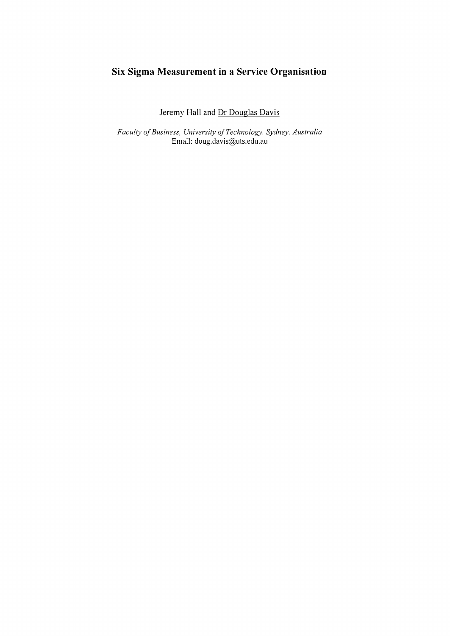# **Six Sigma Measurement in a Service Organisation**

Jeremy **Hall** and **Dr** Douglas Davis

*Faculty of Business, University of Technology, Sydney, Australia* Email: [doug.davis@uts.edu.au](mailto:doug.davis@uts.edu.au)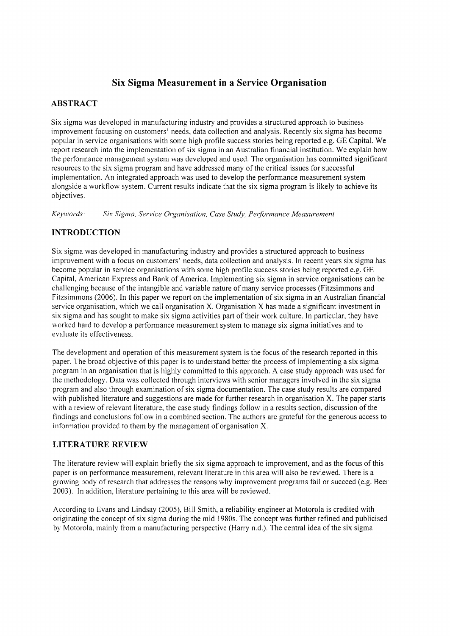# **Six Sigma Measurement in a Service Organisation**

# **ABSTRACT**

Six sigma was developed in manufacturing industry and provides a structured approach to business improvement focusing on customers' needs, data collection and analysis. Recently six sigma has become popular in service organisations with some high profile success stories being reported e.g. GE Capital. We report research into the implementation of six sigma in an Australian financial institution. We explain how the performance management system was developed and used. The organisation has committed significant resources to the six sigma program and have addressed many of the critical issues for successful implementation. An integrated approach was used to develop the performance measurement system alongside a workflow system. Current results indicate that the six sigma program is likely to achieve its objectives.

*Keywords: Six Sigma, Service Organisation, Case Study, Performance Measurement*

# **INTRODUCTION**

Six sigma was developed in manufacturing industry and provides a structured approach to business improvement with a focus on customers' needs, data collection and analysis. In recent years six sigma has become popular in service organisations with some high profile success stories being reported e.g. GE Capital, American Express and Bank of America. Implementing six sigma in service organisations can be challenging because of the intangible and variable nature of many service processes (Fitzsimmons and Fitzsimmons (2006). In this paper we report on the implementation of six sigma in an Australian financial service organisation, which we call organisation X. Organisation X has made a significant investment in six sigma and has sought to make six sigma activities part of their work culture. In particular, they have worked hard to develop a performance measurement system to manage six sigma initiatives and to evaluate its effectiveness.

The development and operation of this measurement system is the focus of the research reported in this paper. The broad objective of this paper is to understand better the process of implementing a six sigma program in an organisation that is highly committed to this approach. A case study approach was used for the methodology. Data was collected through interviews with senior managers involved in the six sigma program and also through examination of six sigma documentation. The case study results are compared with published literature and suggestions are made for further research in organisation X. The paper starts with a review ofrelevant literature, the case study findings follow in a results section, discussion of the findings and conclusions follow in a combined section. The authors are grateful for the generous access to information provided to them by the management of organisation X.

## **LITERATURE REVIEW**

The literature review will explain briefly the six sigma approach to improvement, and as the focus of this paper is on performance measurement, relevant literature in this area will also be reviewed. There is a growing body ofresearch that addresses the reasons why improvement programs fail or succeed (e.g. Beer 2003). In addition, literature pertaining to this area will be reviewed.

According to Evans and Lindsay (2005), Bill Smith, a reliability engineer at Motorola is credited with originating the concept of six sigma during the mid 1980s. The concept was further refined and publicised by Motorola, mainly from a manufacturing perspective (Harry n.d.). The central idea of the six sigma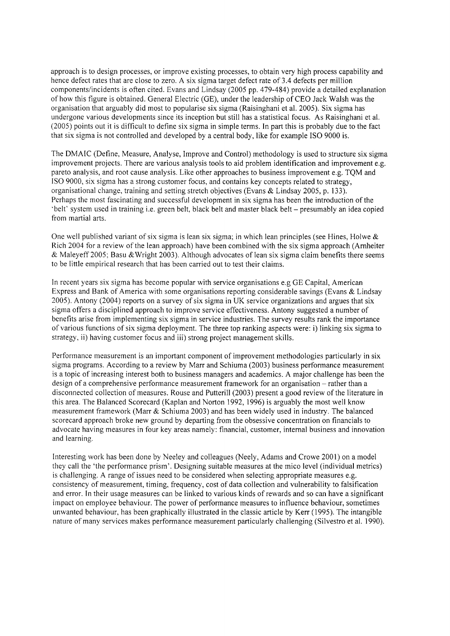approach is to design processes, or improve existing processes, to obtain very high process capability and hence defect rates that are close to zero. A six sigma target defect rate of 3.4 defects per million components/incidents is often cited. Evans and Lindsay (2005 pp. 479-484) provide a detailed explanation of how this figure is obtained. General Electric (GE), under the leadership of CEO Jack Walsh was the organisation that arguably did most to popularise six sigma (Raisinghani et al. 2005). Six sigma has undergone various developments since its inception but still has a statistical focus. As Raisinghani et al. (2005) points out it is difficult to define six sigma in simple terms. In part this is probably due to the fact that six sigma is not controlled and developed by a central body, like for example ISO 9000 is.

The DMAIC (Define, Measure, Analyse, Improve and Control) methodology is used to structure six sigma improvement projects. There are various analysis tools to aid problem identification and improvement e.g. pareto analysis, and root cause analysis. Like other approaches to business improvement e.g. TQM and ISO 9000, six sigma has a strong customer focus, and contains key concepts related to strategy, organisational change, training and setting stretch objectives (Evans & Lindsay 2005, p. 133). Perhaps the most fascinating and successful development in six sigma has been the introduction of the 'belt' system used in training i.e. green belt, black belt and master black belt - presumably an idea copied from martial arts.

One well published variant of six sigma is lean six sigma; in which lean principles (see Hines, Holwe  $\&$ Rich 2004 for a review of the lean approach) have been combined with the six sigma approach (Arnheiter & Maleyeff 2005; Basu &Wright 2003). Although advocates of lean six sigma claim benefits there seems to be little empirical research that has been carried out to test their claims.

In recent years six sigma has become popular with service organisations e.g GE Capital, American Express and Bank of America with some organisations reporting considerable savings (Evans & Lindsay 2005). Antony (2004) reports on a survey of six sigma in UK service organizations and argues that six sigma offers a disciplined approach to improve service effectiveness. Antony suggested a number of benefits arise from implementing six sigma in service industries. The survey results rank the importance of various functions of six sigma deployment. The three top ranking aspects were: i) linking six sigma to strategy, ii) having customer focus and iii) strong project management skills.

Performance measurement is an important component of improvement methodologies particularly in six sigma programs. According to a review by Marr and Schiuma (2003) business performance measurement is a topic of increasing interest both to business managers and academics. A major challenge has been the design of a comprehensive performance measurement framework for an organisation – rather than a disconnected collection of measures. Rouse and Putterill (2003) present a good review of the literature in this area. The Balanced Scorecard (Kaplan and Norton 1992, 1996) is arguably the most well know measurement framework (Marr & Schiuma 2003) and has been widely used in industry. The balanced scorecard approach broke new ground by departing from the obsessive concentration on financials to advocate having measures in four key areas namely: financial, customer, internal business and innovation and learning.

Interesting work has been done by Neeley and colleagues (Neely, Adams and Crowe 2001) on a model they call the 'the performance prism'. Designing suitable measures at the mico level (individual metrics) is challenging. A range of issues need to be considered when selecting appropriate measures e.g. consistency of measurement, timing, frequency, cost of data collection and vulnerability to falsification and error. In their usage measures can be linked to various kinds of rewards and so can have a significant impact on employee behaviour. The power of performance measures to influence behaviour, sometimes unwanted behaviour, has been graphically illustrated in the classic article by Kerr (I995). The intangible nature of many services makes performance measurement particularly challenging (Silvestro et al. 1990).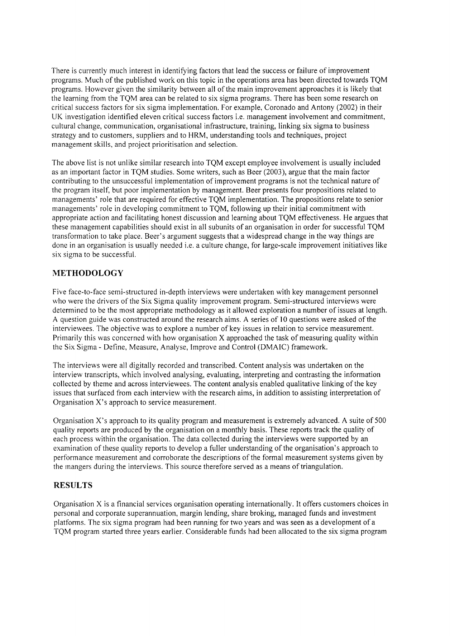There is currently much interest in identifying factors that lead the success or failure of improvement programs. Much of the published work on this topic in the operations area has been directed towards TQM programs. However given the similarity between all of the main improvement approaches it is likely that the learning from the TQM area can be related to six sigma programs. There has been some research on critical success factors for six sigma implementation. For example, Coronado and Antony (2002) in their UK investigation identified eleven critical success factors i.e. management involvement and commitment, cultural change, communication, organisational infrastructure, training, linking six sigma to business strategy and to customers, suppliers and to HRM, understanding tools and techniques, project management skills, and project prioritisation and selection.

The above list is not unlike similar research into TQM except employee involvement is usually included as an important factor in TQM studies. Some writers, such as Beer (2003), argue that the main factor contributing to the unsuccessful implementation of improvement programs is not the technical nature of the program itself, but poor implementation by management. Beer presents four propositions related to managements' role that are required for effective TQM implementation. The propositions relate to senior managements' role in developing commitment to TQM, following up their initial commitment with appropriate action and facilitating honest discussion and learning about TQM effectiveness. He argues that these management capabilities should exist in all subunits of an organisation in order for successful TQM transformation to take place. Beer's argument suggests that a widespread change in the way things are done in an organisation is usually needed i.e. a culture change, for large-scale improvement initiatives like six sigma to be successful.

## **METHODOLOGY**

Five face-to-face semi-structured in-depth interviews were undertaken with key management personnel who were the drivers of the Six Sigma quality improvement program. Semi-structured interviews were determined to be the most appropriate methodology as it allowed exploration a number of issues at length. A question guide was constructed around the research aims. A series of 10 questions were asked of the interviewees. The objective was to explore a number of key issues in relation to service measurement. Primarily this was concerned with how organisation X approached the task of measuring quality within the Six Sigma - Define, Measure, Analyse, Improve and Control (DMAIC) framework.

The interviews were all digitally recorded and transcribed. Content analysis was undertaken on the interview transcripts, which involved analysing, evaluating, interpreting and contrasting the information collected by theme and across interviewees. The content analysis enabled qualitative linking of the key issues that surfaced from each interview with the research aims, in addition to assisting interpretation of Organisation X's approach to service measurement.

Organisation X's approach to its quality program and measurement is extremely advanced. A suite of 500 quality reports are produced by the organisation on a monthly basis. These reports track the quality of each process within the organisation. The data collected during the interviews were supported by an examination of these quality reports to develop a fuller understanding of the organisation's approach to performance measurement and corroborate the descriptions of the formal measurement systems given by the mangers during the interviews. This source therefore served as a means of triangulation.

### **RESULTS**

Organisation X is a financial services organisation operating internationally. It offers customers choices in personal and corporate superannuation, margin lending, share broking, managed funds and investment platforms. The six sigma program had been running for two years and was seen as a development of a TQM program started three years earlier. Considerable funds had been allocated to the six sigma program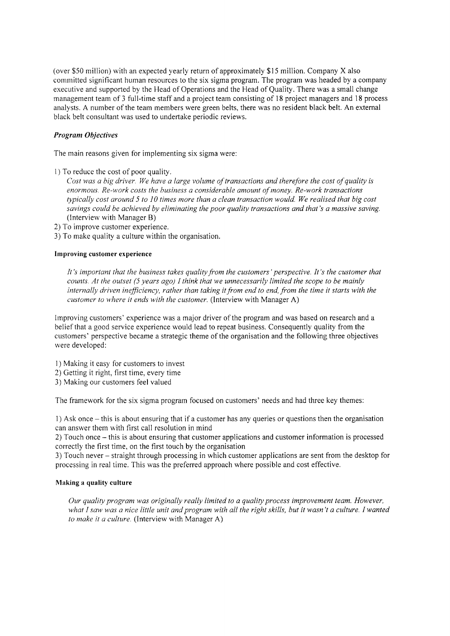(over \$50 million) with an expected yearly return of approximately \$15 million. Company X also committed significant human resources to the six sigma program. The program was headed by a company executive and supported by the Head of Operations and the Head of Quality. There was a small change management team of 3 full-time staff and a project team consisting of 18 project managers and 18 process analysts. A number of the team members were green belts, there was no resident black belt. An external black belt consultant was used to undertake periodic reviews.

### *Program Objectives*

The main reasons given for implementing six sigma were:

1) To reduce the cost of poor quality.

Cost was a big driver. We have a large volume of transactions and therefore the cost of quality is *enormous. Re-work costs the business a considerable amount ofmoney. Re-work transactions typically cost around* 5 *to* 10 *times more than a clean transaction would. We realised that big cost savings could be achieved by eliminating the poor quality transactions and that's a massive saving.* (Interview with Manager B)

2) To improve customer experience.

3) To make quality a culture within the organisation.

#### **Improving customer experience**

*It's important that the business takes quality from the customers' perspective. It's the customer that counts. At the outset* (5 *years ago) I think that we unnecessarily limited the scope to be mainly internally driven inefficiency, rather than taking itfrom end to end,from the time it starts with the customer to where it ends with the customer.* (Interview with Manager A)

Improving customers' experience was a major driver of the program and was based on research and a belief that a good service experience would lead to repeat business. Consequently quality from the customers' perspective became a strategic theme of the organisation and the following three objectives were developed:

- 1) Making it easy for customers to invest
- 2) Getting it right, first time, every time
- 3) Making our customers feel valued

The framework for the six sigma program focused on customers' needs and had three key themes:

1) Ask once - this is about ensuring that if a customer has any queries or questions then the organisation can answer them with first call resolution in mind

2) Touch once - this is about ensuring that customer applications and customer information is processed correctly the first time, on the first touch by the organisation

3) Touch never - straight through processing in which customer applications are sent from the desktop for processing in real time. This was the preferred approach where possible and cost effective.

#### **Making a quality culture**

*Our quality program was originally really limited to a quality process improvement team. However,* what I saw was a nice little unit and program with all the right skills, but it wasn't a culture. I wanted *to make it a culture.* (Interview with Manager A)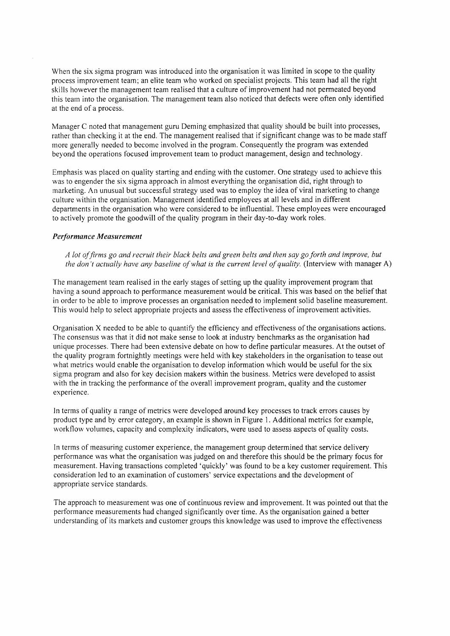When the six sigma program was introduced into the organisation it was limited in scope to the quality process improvement team; an elite team who worked on specialist projects. This team had all the right skills however the management team realised that a culture of improvement had not permeated beyond this team into the organisation. The management team also noticed that defects were often only identified at the end of a process.

Manager C noted that management guru Deming emphasized that quality should be built into processes, rather than checking it at the end. The management realised that if significant change was to be made staff more generally needed to become involved in the program. Consequently the program was extended beyond the operations focused improvement team to product management, design and technology.

Emphasis was placed on quality starting and ending with the customer. One strategy used to achieve this was to engender the six sigma approach in almost everything the organisation did, right through to marketing. An unusual but successful strategy used was to employ the idea of viral marketing to change culture within the organisation. Management identified employees at all levels and in different departments in the organisation who were considered to be influential. These employees were encouraged to actively promote the goodwill of the quality program in their day-to-day work roles.

#### *Performance Measurement*

A lot of firms go and recruit their black belts and green belts and then say go forth and improve, but *the don't actually have any baseline of what is the current level of quality.* (Interview with manager A)

The management team realised in the early stages of setting up the quality improvement program that having a sound approach to performance measurement would be critical. This was based on the belief that in order to be able to improve processes an organisation needed to implement solid baseline measurement. This would help to select appropriate projects and assess the effectiveness of improvement activities.

Organisation X needed to be able to quantify the efficiency and effectiveness of the organisations actions. The consensus was that it did not make sense to look at industry benchmarks as the organisation had unique processes. There had been extensive debate on how to define particular measures. At the outset of the quality program fortnightly meetings were held with key stakeholders in the organisation to tease out what metrics would enable the organisation to develop information which would be useful for the six sigma program and also for key decision makers within the business. Metrics were developed to assist with the in tracking the performance of the overall improvement program, quality and the customer experience.

In terms of quality a range of metrics were developed around key processes to track errors causes by product type and by error category, an example is shown in Figure 1. Additional metrics for example, workflow volumes, capacity and complexity indicators, were used to assess aspects of quality costs.

In terms of measuring customer experience, the management group determined that service delivery performance was what the organisation was judged on and therefore this should be the primary focus for measurement. Having transactions completed 'quickly' was found to be a key customer requirement. This consideration led to an examination of customers' service expectations and the development of appropriate service standards.

The approach to measurement was one of continuous review and improvement. It was pointed out that the performance measurements had changed significantly over time. As the organisation gained a better understanding of its markets and customer groups this knowledge was used to improve the effectiveness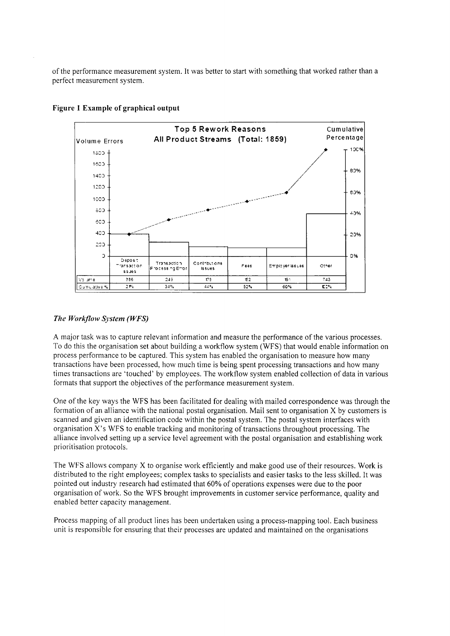of the performance measurement system. It was better to start with something that worked rather than a perfect measurement system.



#### Figure 1 Example of graphical output

### *The Workflow System (WFS)*

A major task was to capture relevant information and measure the performance of the various processes. To do this the organisation set about building a workflow system (WFS) that would enable information on process performance to be captured. This system has enabled the organisation to measure how many transactions have been processed, how much time is being spent processing transactions and how many times transactions are 'touched' by employees. The workflow system enabled collection of data in various formats that support the objectives of the performance measurement system.

One of the key ways the WFS has been facilitated for dealing with mailed correspondence was through the formation of an alliance with the national postal organisation. Mail sent to organisation X by customers is scanned and given an identification code within the postal system. The postal system interfaces with organisation X's WFS to enable tracking and monitoring of transactions throughout processing. The alliance involved setting up a service level agreement with the postal organisation and establishing work prioritisation protocols.

The WFS allows company X to organise work efficiently and make good use of their resources. Work is distributed to the right employees; complex tasks to specialists and easier tasks to the less skilled. It was pointed out industry research had estimated that 60% of operations expenses were due to the poor organisation of work. So the WFS brought improvements in customer service performance, quality and enabled better capacity management.

Process mapping of all product lines has been undertaken using a process-mapping tool. Each business unit is responsible for ensuring that their processes are updated and maintained on the organisations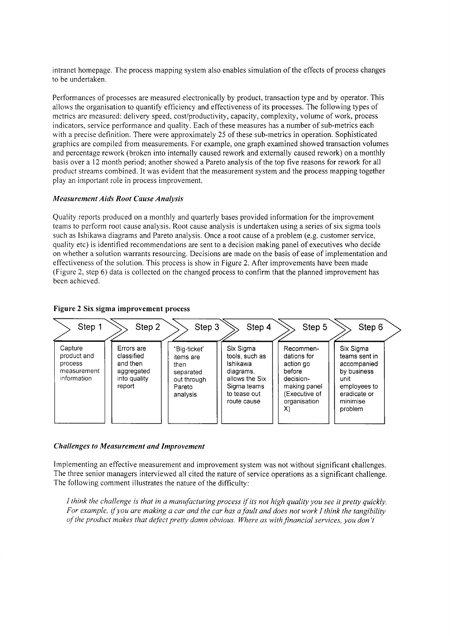intranet homepage. The process mapping system also enables simulation of the effects of process changes to be undertaken.

Performances of processes are measured electronically by product, transaction type and by operator. This allows the organisation to quantify efficiency and effectiveness of its processes. The following types of metrics are measured: delivery speed, cost/productivity, capacity, complexity, volume of work, process indicators, service performance and quality. Each of these measures has a number of sub-metrics each with a precise definition. There were approximately 25 of these sub-metrics in operation. Sophisticated graphics are compiled from measurements. For example, one graph examined showed transaction volumes and percentage rework (broken into internally caused rework and externally caused rework) on a monthly basis over a 12 month period; another showed a Pareto analysis of the top five reasons for rework for all product streams combined. It was evident that the measurement system and the process mapping together play an important role in process improvement.

#### *Measurement Aids Root Cause Analysis*

Quality reports produced on a monthly and quarterly bases provided information for the improvement teams to perform root cause analysis. Root cause analysis is undertaken using a series of six sigma tools such as Ishikawa diagrams and Pareto analysis. Once a root cause of a problem (e.g. customer service, quality etc) is identified recommendations are sent to a decision making panel of executives who decide on whether a solution warrants resourcing. Decisions are made on the basis of ease of implementation and effectiveness of the solution. This process is show in Figure 2. After improvements have been made (Figure 2, step 6) data is collected on the changed process to confirm that the planned improvement has been achieved.



#### Figure 2 Six sigma improvement process

#### *Challenges to Measurement and Improvement*

Implementing an effective measurement and improvement system was not without significant challenges. The three senior managers interviewed all cited the nature of service operations as a significant challenge. The following comment illustrates the nature of the difficulty:

I think the challenge is that in a manufacturing process if its not high quality you see it pretty quickly. For example, if you are making a car and the car has a fault and does not work I think the tangibility *of the product makes that defect pretty damn obvious. Where as with financial services, you don't*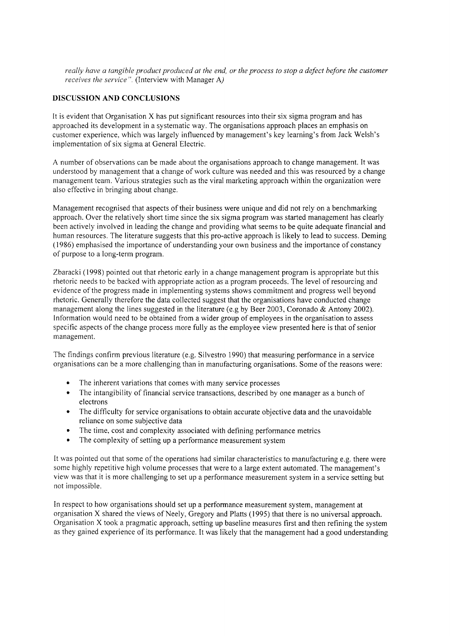really have a tangible product produced at the end, or the process to stop a defect before the customer *receives the service ".* (Interview with Manager A)

### **DISCUSSION AND CONCLUSIONS**

It is evident that Organisation X has put significant resources into their six sigma program and has approached its development in a systematic way. The organisations approach places an emphasis on customer experience, which was largely influenced by management's key learning's from Jack Welsh's implementation of six sigma at General Electric.

A number of observations can be made about the organisations approach to change management. It was understood by management that a change of work culture was needed and this was resourced by a change management team. Various strategies such as the viral marketing approach within the organization were also effective in bringing about change.

Management recognised that aspects of their business were unique and did not rely on a benchmarking approach. Over the relatively short time since the six sigma program was started management has clearly been actively involved in leading the change and providing what seems to be quite adequate financial and human resources. The literature suggests that this pro-active approach is likely to lead to success. Deming (1986) emphasised the importance of understanding your own business and the importance of constancy of purpose to a long-term program.

Zbaracki (1998) pointed out that rhetoric early in a change management program is appropriate but this rhetoric needs to be backed with appropriate action as a program proceeds. The level of resourcing and evidence of the progress made in implementing systems shows commitment and progress well beyond rhetoric. Generally therefore the data collected suggest that the organisations have conducted change management along the lines suggested in the literature (e.g by Beer 2003, Coronado & Antony 2002). Information would need to be obtained from a wider group of employees in the organisation to assess specific aspects of the change process more fully as the employee view presented here is that of senior management.

The findings confirm previous literature (e.g. Silvestro 1990) that measuring performance in a service organisations can be a more challenging than in manufacturing organisations. Some of the reasons were:

- The inherent variations that comes with many service processes
- The intangibility of financial service transactions, described by one manager as a bunch of electrons
- The difficulty for service organisations to obtain accurate objective data and the unavoidable reliance on some subjective data
- The time, cost and complexity associated with defining performance metrics
- The complexity of setting up a performance measurement system

**It** was pointed out that some of the operations had similar characteristics to manufacturing e.g. there were some highly repetitive high volume processes that were to a large extent automated. The management's view was that it is more challenging to set up a performance measurement system in a service setting but not impossible.

**In** respect to how organisations should set up a performance measurement system, management at organisation X shared the views of Neely, Gregory and Platts (1995) that there is no universal approach. Organisation X took a pragmatic approach, setting up baseline measures first and then refining the system as they gained experience of its performance. It was likely that the management had a good understanding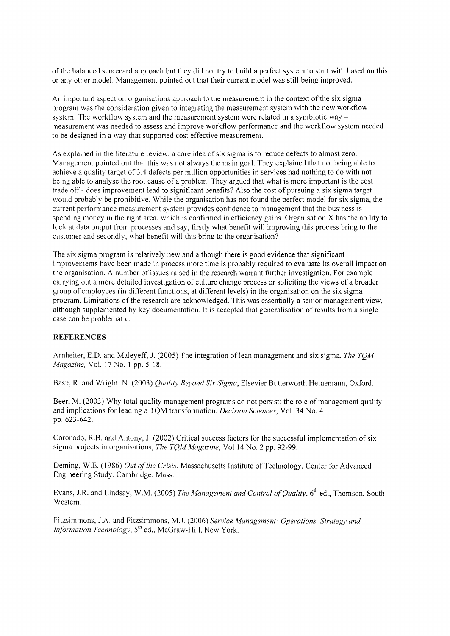of the balanced scorecard approach but they did not try to build a perfect system to start with based on this or any other model. Management pointed out that their current model was still being improved.

An important aspect on organisations approach to the measurement in the context of the six sigma program was the consideration given to integrating the measurement system with the new workflow system. The workflow system and the measurement system were related in a symbiotic way  $$ measurement was needed to assess and improve workflow performance and the workflow system needed to be designed in a way that supported cost effective measurement.

As explained in the literature review, a core idea of six sigma is to reduce defects to almost zero. Management pointed out that this was not always the main goal. They explained that not being able to achieve a quality target of 3.4 defects per million opportunities in services had nothing to do with not being able to analyse the root cause of a problem. They argued that what is more important is the cost trade off - does improvement lead to significant benefits? Also the cost of pursuing a six sigma target would probably be prohibitive. While the organisation has not found the perfect model for six sigma, the current performance measurement system provides confidence to management that the business is spending money in the right area, which is confirmed in efficiency gains. Organisation X has the ability to look at data output from processes and say, firstly what benefit will improving this process bring to the customer and secondly, what benefit will this bring to the organisation?

The six sigma program is relatively new and although there is good evidence that significant improvements have been made in process more time is probably required to evaluate its overall impact on the organisation. A number of issues raised in the research warrant further investigation. For example carrying out a more detailed investigation of culture change process or soliciting the views of a broader group of employees (in different functions, at different levels) in the organisation on the six sigma program. Limitations of the research are acknowledged. This was essentially a senior management view, although supplemented by key documentation. It is accepted that generalisation of results from a single case can be problematic.

#### **REFERENCES**

Arnheiter, E.D. and Maleyeff, J. (2005) The integration oflean management and six sigma, *The TQM Magazine,* Vol. 17 No.1 pp. 5-18.

Basu, R. and Wright, N. (2003) *Quality Beyond Six Sigma,* Elsevier Butterworth Heinemann, Oxford.

Beer, M. (2003) Why total quality management programs do not persist: the role of management quality and implications for leading a TQM transformation. *Decision Sciences,* Vol. 34 No.4 pp. 623-642.

Coronado, R.B. and Antony, J. (2002) Critical success factors for the successful implementation of six sigma projects in organisations, *The TQM Magazine,* Vol 14 No.2 pp. 92-99.

Deming, W.E. (1986) *Out of the Crisis,* Massachusetts Institute of Technology, Center for Advanced Engineering Study. Cambridge, Mass.

Evans, LR. and Lindsay, W.M. (2005) *The Management and Control of Quality,* 6 th ed., Thomson, South Western.

Fitzsimmons, J.A. and Fitzsimmons, M.J. (2006) *Service Management: Operations, Strategy and Information Technology*, 5<sup>th</sup> ed., McGraw-Hill, New York